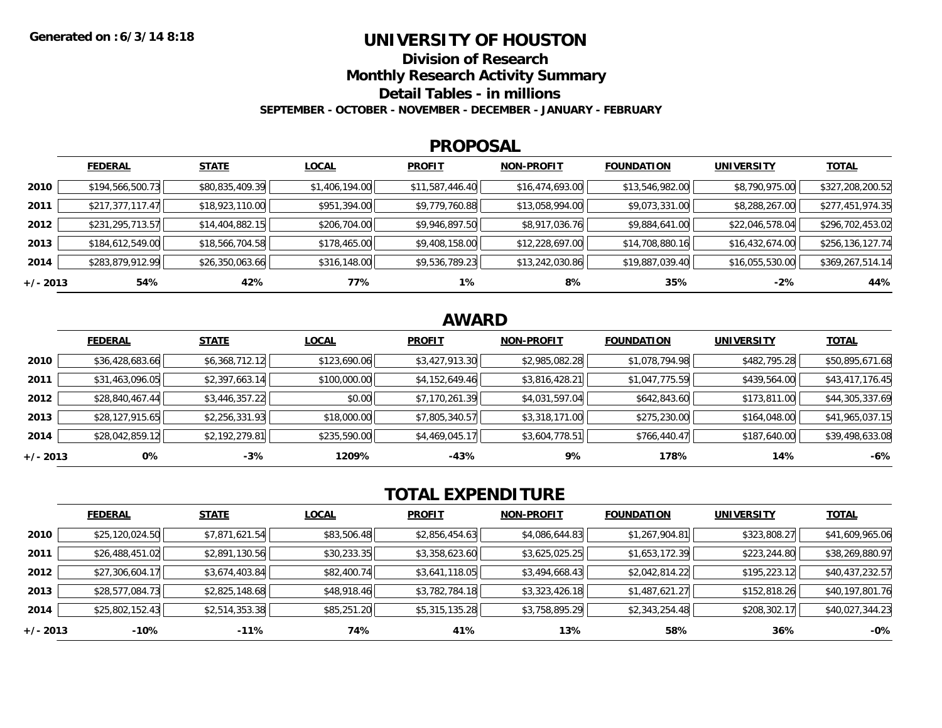### **UNIVERSITY OF HOUSTON**

**Division of Research**

**Monthly Research Activity Summary**

**Detail Tables - in millions**

**SEPTEMBER - OCTOBER - NOVEMBER - DECEMBER - JANUARY - FEBRUARY**

#### **PROPOSAL**

|            | <b>FEDERAL</b>   | <b>STATE</b>    | <b>LOCAL</b>   | <b>PROFIT</b>   | <b>NON-PROFIT</b> | <b>FOUNDATION</b> | <b>UNIVERSITY</b> | <u>TOTAL</u>     |
|------------|------------------|-----------------|----------------|-----------------|-------------------|-------------------|-------------------|------------------|
| 2010       | \$194,566,500.73 | \$80,835,409.39 | \$1,406,194.00 | \$11,587,446.40 | \$16,474,693.00   | \$13,546,982.00   | \$8,790,975.00    | \$327,208,200.52 |
| 2011       | \$217,377,117.47 | \$18,923,110.00 | \$951,394.00   | \$9,779,760.88  | \$13,058,994.00   | \$9,073,331.00    | \$8,288,267.00    | \$277,451,974.35 |
| 2012       | \$231,295,713.57 | \$14,404,882.15 | \$206,704.00   | \$9,946,897.50  | \$8,917,036.76    | \$9,884,641.00    | \$22,046,578.04   | \$296,702,453.02 |
| 2013       | \$184,612,549.00 | \$18,566,704.58 | \$178,465.00   | \$9,408,158.00  | \$12,228,697.00   | \$14,708,880.16   | \$16,432,674.00   | \$256,136,127.74 |
| 2014       | \$283,879,912.99 | \$26,350,063.66 | \$316,148.00   | \$9,536,789.23  | \$13,242,030.86   | \$19,887,039.40   | \$16,055,530.00   | \$369,267,514.14 |
| $+/- 2013$ | 54%              | 42%             | 77%            | $1\%$           | 8%                | 35%               | $-2%$             | 44%              |

# **AWARD**

|            | <b>FEDERAL</b>  | <b>STATE</b>   | <b>LOCAL</b> | <b>PROFIT</b>  | <b>NON-PROFIT</b> | <b>FOUNDATION</b> | <b>UNIVERSITY</b> | <b>TOTAL</b>    |
|------------|-----------------|----------------|--------------|----------------|-------------------|-------------------|-------------------|-----------------|
| 2010       | \$36,428,683.66 | \$6,368,712.12 | \$123,690.06 | \$3,427,913.30 | \$2,985,082.28    | \$1,078,794.98    | \$482,795.28      | \$50,895,671.68 |
| 2011       | \$31,463,096.05 | \$2,397,663.14 | \$100,000.00 | \$4,152,649.46 | \$3,816,428.21    | \$1,047,775.59    | \$439,564.00      | \$43,417,176.45 |
| 2012       | \$28,840,467.44 | \$3,446,357.22 | \$0.00       | \$7,170,261.39 | \$4,031,597.04    | \$642,843.60      | \$173,811.00      | \$44,305,337.69 |
| 2013       | \$28,127,915.65 | \$2,256,331.93 | \$18,000.00  | \$7,805,340.57 | \$3,318,171.00    | \$275,230.00      | \$164,048.00      | \$41,965,037.15 |
| 2014       | \$28,042,859.12 | \$2,192,279.81 | \$235,590.00 | \$4,469,045.17 | \$3,604,778.51    | \$766,440.47      | \$187,640.00      | \$39,498,633.08 |
| $+/- 2013$ | 0%              | $-3%$          | 1209%        | $-43%$         | 9%                | 178%              | 14%               | $-6%$           |

# **TOTAL EXPENDITURE**

|          | <b>FEDERAL</b>  | <b>STATE</b>   | <b>LOCAL</b> | <b>PROFIT</b>  | <b>NON-PROFIT</b> | <b>FOUNDATION</b> | <b>UNIVERSITY</b> | <b>TOTAL</b>    |
|----------|-----------------|----------------|--------------|----------------|-------------------|-------------------|-------------------|-----------------|
| 2010     | \$25,120,024.50 | \$7,871,621.54 | \$83,506.48  | \$2,856,454.63 | \$4,086,644.83    | \$1,267,904.81    | \$323,808.27      | \$41,609,965.06 |
| 2011     | \$26,488,451.02 | \$2,891,130.56 | \$30,233.35  | \$3,358,623.60 | \$3,625,025.25    | \$1,653,172.39    | \$223,244.80      | \$38,269,880.97 |
| 2012     | \$27,306,604.17 | \$3,674,403.84 | \$82,400.74  | \$3,641,118.05 | \$3,494,668.43    | \$2,042,814.22    | \$195,223.12      | \$40,437,232.57 |
| 2013     | \$28,577,084.73 | \$2,825,148.68 | \$48,918.46  | \$3,782,784.18 | \$3,323,426.18    | \$1,487,621.27    | \$152,818.26      | \$40,197,801.76 |
| 2014     | \$25,802,152.43 | \$2,514,353.38 | \$85,251.20  | \$5,315,135.28 | \$3,758,895.29    | \$2,343,254.48    | \$208,302.17      | \$40,027,344.23 |
| +/- 2013 | $-10%$          | $-11%$         | 74%          | 41%            | 13%               | 58%               | 36%               | $-0%$           |